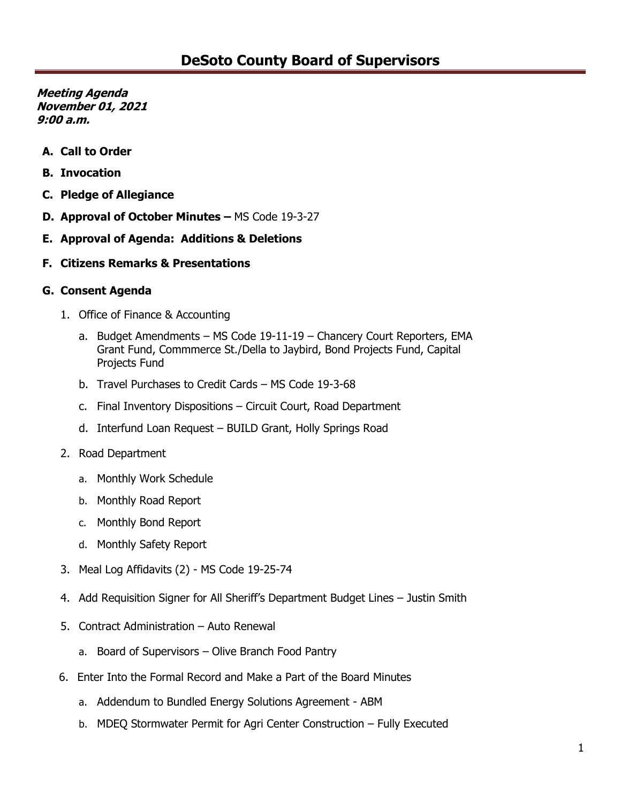- **A. Call to Order**
- **B. Invocation**
- **C. Pledge of Allegiance**
- **D. Approval of October Minutes –** MS Code 19-3-27
- **E. Approval of Agenda: Additions & Deletions**
- **F. Citizens Remarks & Presentations**

#### **G. Consent Agenda**

- 1. Office of Finance & Accounting
	- a. Budget Amendments MS Code 19-11-19 Chancery Court Reporters, EMA Grant Fund, Commmerce St./Della to Jaybird, Bond Projects Fund, Capital Projects Fund
	- b. Travel Purchases to Credit Cards MS Code 19-3-68
	- c. Final Inventory Dispositions Circuit Court, Road Department
	- d. Interfund Loan Request BUILD Grant, Holly Springs Road
- 2. Road Department
	- a. Monthly Work Schedule
	- b. Monthly Road Report
	- c. Monthly Bond Report
	- d. Monthly Safety Report
- 3. Meal Log Affidavits (2) MS Code 19-25-74
- 4. Add Requisition Signer for All Sheriff's Department Budget Lines Justin Smith
- 5. Contract Administration Auto Renewal
	- a. Board of Supervisors Olive Branch Food Pantry
- 6. Enter Into the Formal Record and Make a Part of the Board Minutes
	- a. Addendum to Bundled Energy Solutions Agreement ABM
	- b. MDEQ Stormwater Permit for Agri Center Construction Fully Executed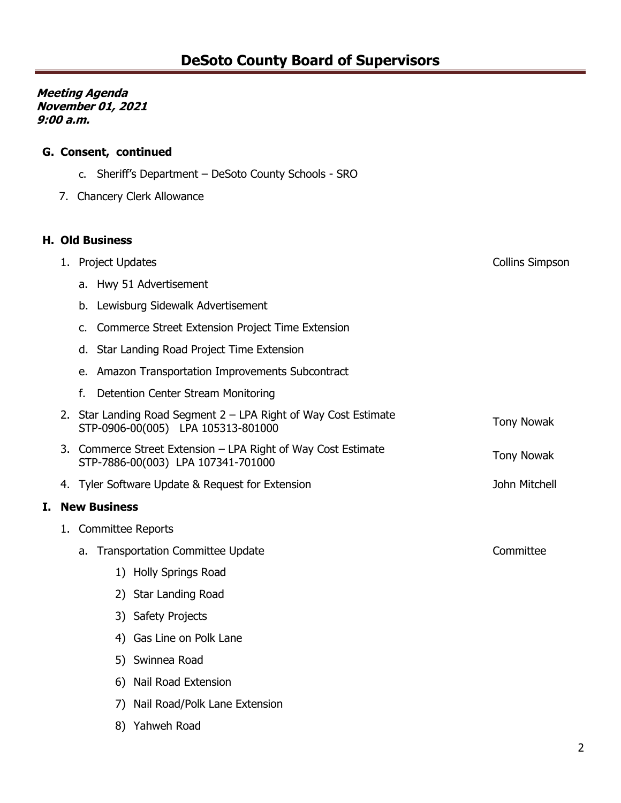# **G. Consent, continued**

- c. Sheriff's Department DeSoto County Schools SRO
- 7. Chancery Clerk Allowance

#### **H. Old Business**

**I. New Business**

|                     | 1. Project Updates<br><b>Collins Simpson</b>                                                                               |  |  |  |  |  |
|---------------------|----------------------------------------------------------------------------------------------------------------------------|--|--|--|--|--|
|                     | a. Hwy 51 Advertisement                                                                                                    |  |  |  |  |  |
|                     | Lewisburg Sidewalk Advertisement<br>b.                                                                                     |  |  |  |  |  |
|                     | Commerce Street Extension Project Time Extension<br>c.                                                                     |  |  |  |  |  |
|                     | Star Landing Road Project Time Extension<br>d.                                                                             |  |  |  |  |  |
|                     | Amazon Transportation Improvements Subcontract<br>e.                                                                       |  |  |  |  |  |
|                     | f.<br>Detention Center Stream Monitoring                                                                                   |  |  |  |  |  |
|                     | 2. Star Landing Road Segment 2 – LPA Right of Way Cost Estimate<br><b>Tony Nowak</b><br>STP-0906-00(005) LPA 105313-801000 |  |  |  |  |  |
|                     | 3. Commerce Street Extension - LPA Right of Way Cost Estimate<br><b>Tony Nowak</b><br>STP-7886-00(003) LPA 107341-701000   |  |  |  |  |  |
|                     | John Mitchell<br>4. Tyler Software Update & Request for Extension                                                          |  |  |  |  |  |
| <b>New Business</b> |                                                                                                                            |  |  |  |  |  |
|                     | 1. Committee Reports                                                                                                       |  |  |  |  |  |
|                     | Committee<br>a. Transportation Committee Update                                                                            |  |  |  |  |  |
|                     | 1) Holly Springs Road                                                                                                      |  |  |  |  |  |
|                     | 2) Star Landing Road                                                                                                       |  |  |  |  |  |
|                     | 3) Safety Projects                                                                                                         |  |  |  |  |  |
|                     | 4) Gas Line on Polk Lane                                                                                                   |  |  |  |  |  |
|                     | 5) Swinnea Road                                                                                                            |  |  |  |  |  |
|                     | 6) Nail Road Extension                                                                                                     |  |  |  |  |  |
|                     | 7) Nail Road/Polk Lane Extension                                                                                           |  |  |  |  |  |
|                     | 8) Yahweh Road                                                                                                             |  |  |  |  |  |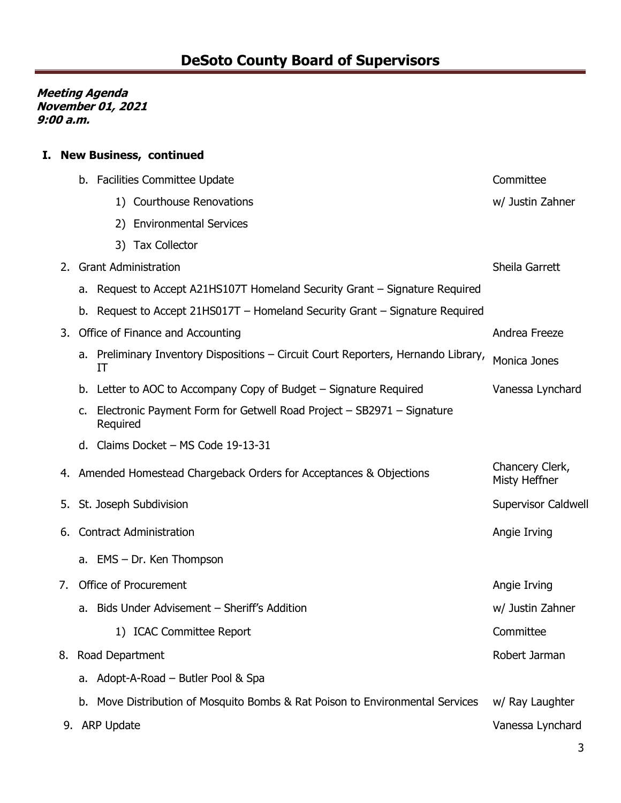## **I. New Business, continued**

|    |                             | b. Facilities Committee Update | Committee                                                                          |                                  |
|----|-----------------------------|--------------------------------|------------------------------------------------------------------------------------|----------------------------------|
|    |                             |                                | 1) Courthouse Renovations                                                          | w/ Justin Zahner                 |
|    |                             | 2)                             | <b>Environmental Services</b>                                                      |                                  |
|    |                             | 3)                             | <b>Tax Collector</b>                                                               |                                  |
| 2. | <b>Grant Administration</b> |                                |                                                                                    | Sheila Garrett                   |
|    |                             |                                | a. Request to Accept A21HS107T Homeland Security Grant – Signature Required        |                                  |
|    |                             |                                | b. Request to Accept 21HS017T - Homeland Security Grant - Signature Required       |                                  |
| 3. |                             |                                | Office of Finance and Accounting                                                   | Andrea Freeze                    |
|    |                             | IT                             | a. Preliminary Inventory Dispositions - Circuit Court Reporters, Hernando Library, | Monica Jones                     |
|    |                             |                                | b. Letter to AOC to Accompany Copy of Budget – Signature Required                  | Vanessa Lynchard                 |
|    | c.                          | Required                       | Electronic Payment Form for Getwell Road Project - SB2971 - Signature              |                                  |
|    |                             |                                | d. Claims Docket - MS Code 19-13-31                                                |                                  |
|    |                             |                                | 4. Amended Homestead Chargeback Orders for Acceptances & Objections                | Chancery Clerk,<br>Misty Heffner |
|    |                             |                                | 5. St. Joseph Subdivision                                                          | <b>Supervisor Caldwell</b>       |
| 6. |                             |                                | <b>Contract Administration</b>                                                     | Angie Irving                     |
|    |                             |                                | a. EMS - Dr. Ken Thompson                                                          |                                  |
| 7. |                             |                                | Office of Procurement                                                              | Angie Irving                     |
|    | а.                          |                                | Bids Under Advisement - Sheriff's Addition                                         | w/ Justin Zahner                 |
|    |                             |                                | 1) ICAC Committee Report                                                           | Committee                        |
|    |                             | 8. Road Department             |                                                                                    | Robert Jarman                    |
|    |                             |                                | a. Adopt-A-Road – Butler Pool & Spa                                                |                                  |
|    |                             |                                | b. Move Distribution of Mosquito Bombs & Rat Poison to Environmental Services      | w/ Ray Laughter                  |
|    |                             | 9. ARP Update                  |                                                                                    | Vanessa Lynchard                 |
|    |                             |                                |                                                                                    |                                  |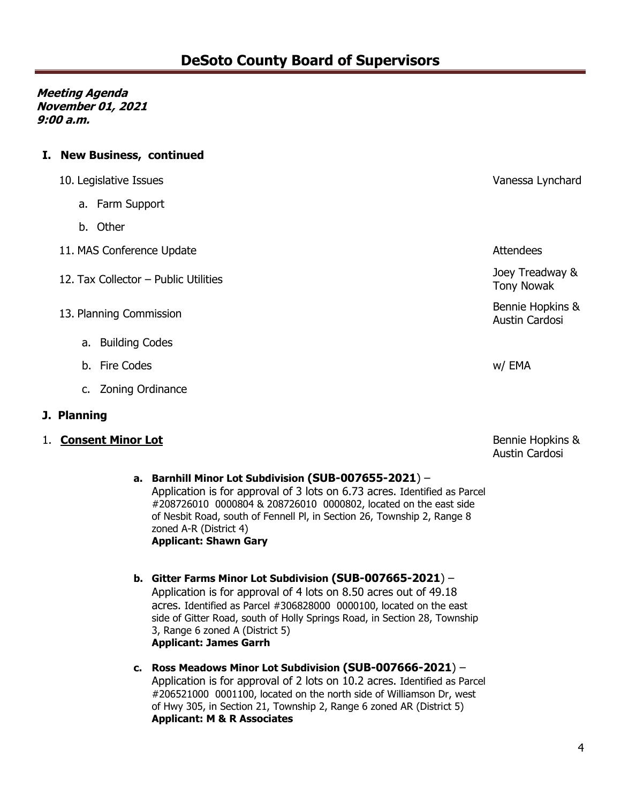### **I. New Business, continued**

| 10. Legislative Issues                 | Vanessa Lynchard                   |
|----------------------------------------|------------------------------------|
| a. Farm Support                        |                                    |
| b. Other                               |                                    |
| 11. MAS Conference Update              | <b>Attendees</b>                   |
| 12. Tax Collector $-$ Public Utilities | Joey Treadway &<br>Tony Nowak      |
| 13. Planning Commission                | Bennie Hopkins &<br>Austin Cardosi |
| a. Building Codes                      |                                    |
| b. Fire Codes                          | w/ EMA                             |

- c. Zoning Ordinance
- **J. Planning**
- 1. **Consent Minor Lot**

Bennie Hopkins & Austin Cardosi

- **a. Barnhill Minor Lot Subdivision (SUB-007655-2021**) Application is for approval of 3 lots on 6.73 acres. Identified as Parcel #208726010 0000804 & 208726010 0000802, located on the east side of Nesbit Road, south of Fennell Pl, in Section 26, Township 2, Range 8 zoned A-R (District 4) **Applicant: Shawn Gary**
- **b. Gitter Farms Minor Lot Subdivision (SUB-007665-2021**) Application is for approval of 4 lots on 8.50 acres out of 49.18 acres. Identified as Parcel #306828000 0000100, located on the east side of Gitter Road, south of Holly Springs Road, in Section 28, Township 3, Range 6 zoned A (District 5) **Applicant: James Garrh**
- **c. Ross Meadows Minor Lot Subdivision (SUB-007666-2021**) Application is for approval of 2 lots on 10.2 acres. Identified as Parcel #206521000 0001100, located on the north side of Williamson Dr, west of Hwy 305, in Section 21, Township 2, Range 6 zoned AR (District 5) **Applicant: M & R Associates**